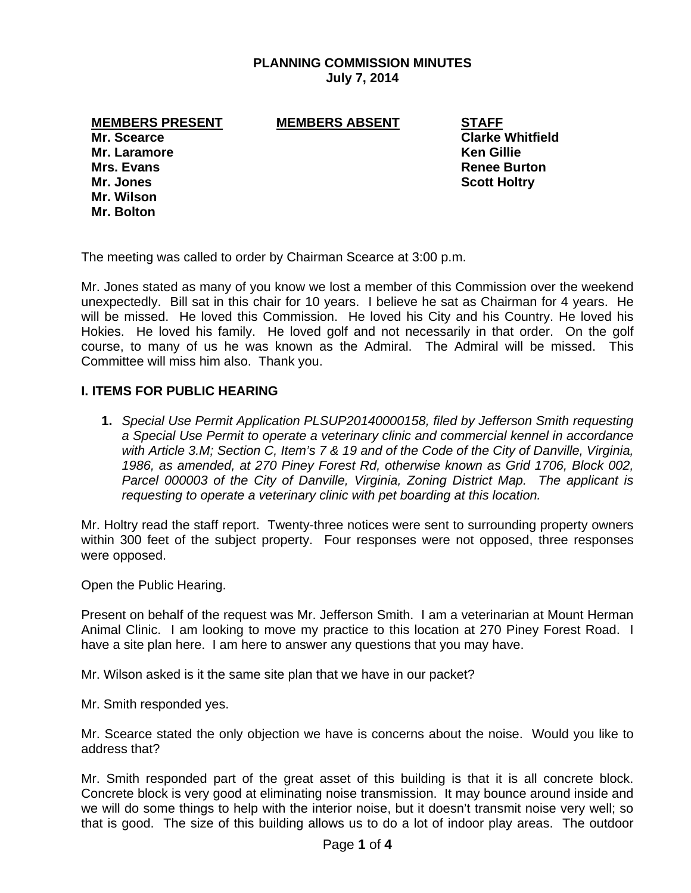## **PLANNING COMMISSION MINUTES July 7, 2014**

#### **MEMBERS PRESENT MEMBERS ABSENT STAFF**

**Mr. Laramore Ken Gillie Mrs. Evans** Renee Burton **Renee Burton Mr. Jones Scott Holtry And Allen Scott Holtry Scott Holtry Mr. Wilson Mr. Bolton** 

**Mr. Scearce Clarke Whitfield Clarke Whitfield** 

The meeting was called to order by Chairman Scearce at 3:00 p.m.

Mr. Jones stated as many of you know we lost a member of this Commission over the weekend unexpectedly. Bill sat in this chair for 10 years. I believe he sat as Chairman for 4 years. He will be missed. He loved this Commission. He loved his City and his Country. He loved his Hokies. He loved his family. He loved golf and not necessarily in that order. On the golf course, to many of us he was known as the Admiral. The Admiral will be missed. This Committee will miss him also. Thank you.

### **I. ITEMS FOR PUBLIC HEARING**

**1.** *Special Use Permit Application PLSUP20140000158, filed by Jefferson Smith requesting a Special Use Permit to operate a veterinary clinic and commercial kennel in accordance with Article 3.M; Section C, Item's 7 & 19 and of the Code of the City of Danville, Virginia, 1986, as amended, at 270 Piney Forest Rd, otherwise known as Grid 1706, Block 002, Parcel 000003 of the City of Danville, Virginia, Zoning District Map. The applicant is requesting to operate a veterinary clinic with pet boarding at this location.* 

Mr. Holtry read the staff report. Twenty-three notices were sent to surrounding property owners within 300 feet of the subject property. Four responses were not opposed, three responses were opposed.

Open the Public Hearing.

Present on behalf of the request was Mr. Jefferson Smith. I am a veterinarian at Mount Herman Animal Clinic. I am looking to move my practice to this location at 270 Piney Forest Road. I have a site plan here. I am here to answer any questions that you may have.

Mr. Wilson asked is it the same site plan that we have in our packet?

Mr. Smith responded yes.

Mr. Scearce stated the only objection we have is concerns about the noise. Would you like to address that?

Mr. Smith responded part of the great asset of this building is that it is all concrete block. Concrete block is very good at eliminating noise transmission. It may bounce around inside and we will do some things to help with the interior noise, but it doesn't transmit noise very well; so that is good. The size of this building allows us to do a lot of indoor play areas. The outdoor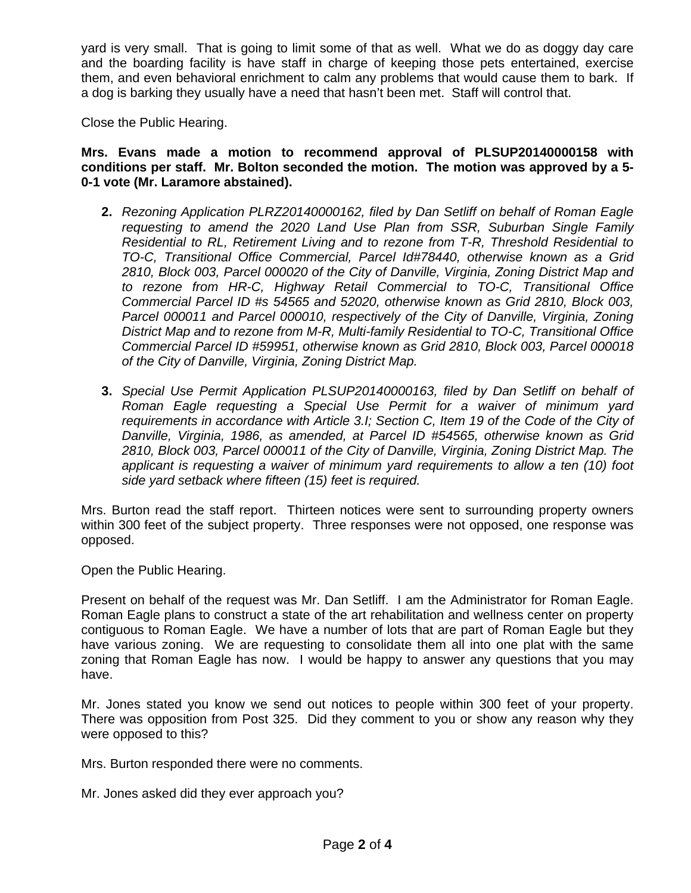yard is very small. That is going to limit some of that as well. What we do as doggy day care and the boarding facility is have staff in charge of keeping those pets entertained, exercise them, and even behavioral enrichment to calm any problems that would cause them to bark. If a dog is barking they usually have a need that hasn't been met. Staff will control that.

Close the Public Hearing.

**Mrs. Evans made a motion to recommend approval of PLSUP20140000158 with conditions per staff. Mr. Bolton seconded the motion. The motion was approved by a 5- 0-1 vote (Mr. Laramore abstained).** 

- **2.** *Rezoning Application PLRZ20140000162, filed by Dan Setliff on behalf of Roman Eagle requesting to amend the 2020 Land Use Plan from SSR, Suburban Single Family Residential to RL, Retirement Living and to rezone from T-R, Threshold Residential to TO-C, Transitional Office Commercial, Parcel Id#78440, otherwise known as a Grid 2810, Block 003, Parcel 000020 of the City of Danville, Virginia, Zoning District Map and to rezone from HR-C, Highway Retail Commercial to TO-C, Transitional Office Commercial Parcel ID #s 54565 and 52020, otherwise known as Grid 2810, Block 003, Parcel 000011 and Parcel 000010, respectively of the City of Danville, Virginia, Zoning District Map and to rezone from M-R, Multi-family Residential to TO-C, Transitional Office Commercial Parcel ID #59951, otherwise known as Grid 2810, Block 003, Parcel 000018 of the City of Danville, Virginia, Zoning District Map.*
- **3.** *Special Use Permit Application PLSUP20140000163, filed by Dan Setliff on behalf of Roman Eagle requesting a Special Use Permit for a waiver of minimum yard requirements in accordance with Article 3.I; Section C, Item 19 of the Code of the City of Danville, Virginia, 1986, as amended, at Parcel ID #54565, otherwise known as Grid 2810, Block 003, Parcel 000011 of the City of Danville, Virginia, Zoning District Map. The applicant is requesting a waiver of minimum yard requirements to allow a ten (10) foot side yard setback where fifteen (15) feet is required.*

Mrs. Burton read the staff report. Thirteen notices were sent to surrounding property owners within 300 feet of the subject property. Three responses were not opposed, one response was opposed.

Open the Public Hearing.

Present on behalf of the request was Mr. Dan Setliff. I am the Administrator for Roman Eagle. Roman Eagle plans to construct a state of the art rehabilitation and wellness center on property contiguous to Roman Eagle. We have a number of lots that are part of Roman Eagle but they have various zoning. We are requesting to consolidate them all into one plat with the same zoning that Roman Eagle has now. I would be happy to answer any questions that you may have.

Mr. Jones stated you know we send out notices to people within 300 feet of your property. There was opposition from Post 325. Did they comment to you or show any reason why they were opposed to this?

Mrs. Burton responded there were no comments.

Mr. Jones asked did they ever approach you?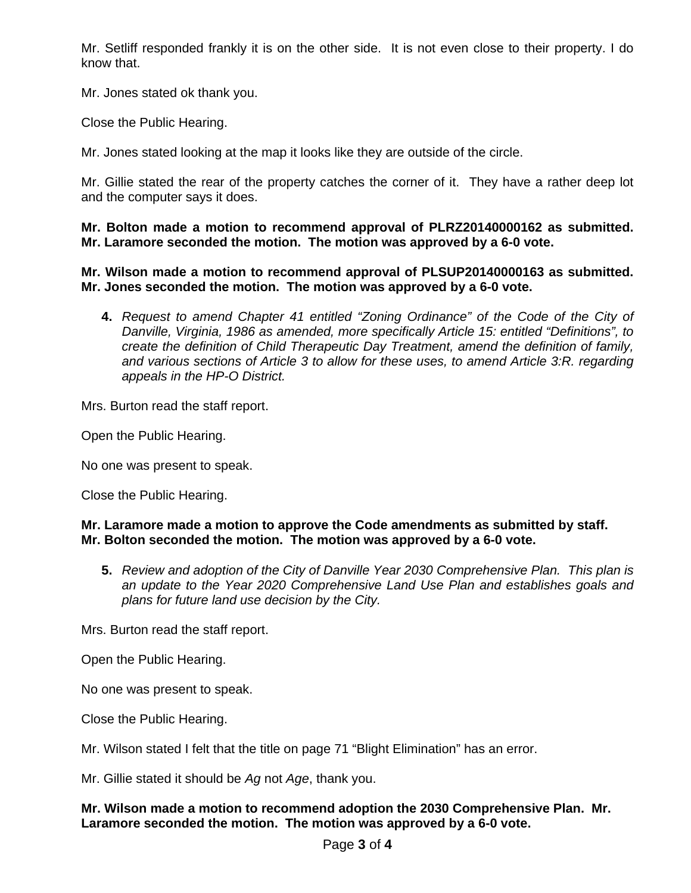Mr. Setliff responded frankly it is on the other side. It is not even close to their property. I do know that.

Mr. Jones stated ok thank you.

Close the Public Hearing.

Mr. Jones stated looking at the map it looks like they are outside of the circle.

Mr. Gillie stated the rear of the property catches the corner of it. They have a rather deep lot and the computer says it does.

**Mr. Bolton made a motion to recommend approval of PLRZ20140000162 as submitted. Mr. Laramore seconded the motion. The motion was approved by a 6-0 vote.** 

## **Mr. Wilson made a motion to recommend approval of PLSUP20140000163 as submitted. Mr. Jones seconded the motion. The motion was approved by a 6-0 vote.**

**4.** *Request to amend Chapter 41 entitled "Zoning Ordinance" of the Code of the City of Danville, Virginia, 1986 as amended, more specifically Article 15: entitled "Definitions", to create the definition of Child Therapeutic Day Treatment, amend the definition of family, and various sections of Article 3 to allow for these uses, to amend Article 3:R. regarding appeals in the HP-O District.* 

Mrs. Burton read the staff report.

Open the Public Hearing.

No one was present to speak.

Close the Public Hearing.

## **Mr. Laramore made a motion to approve the Code amendments as submitted by staff. Mr. Bolton seconded the motion. The motion was approved by a 6-0 vote.**

**5.** *Review and adoption of the City of Danville Year 2030 Comprehensive Plan. This plan is an update to the Year 2020 Comprehensive Land Use Plan and establishes goals and plans for future land use decision by the City.* 

Mrs. Burton read the staff report.

Open the Public Hearing.

No one was present to speak.

Close the Public Hearing.

Mr. Wilson stated I felt that the title on page 71 "Blight Elimination" has an error.

Mr. Gillie stated it should be *Ag* not *Age*, thank you.

## **Mr. Wilson made a motion to recommend adoption the 2030 Comprehensive Plan. Mr. Laramore seconded the motion. The motion was approved by a 6-0 vote.**